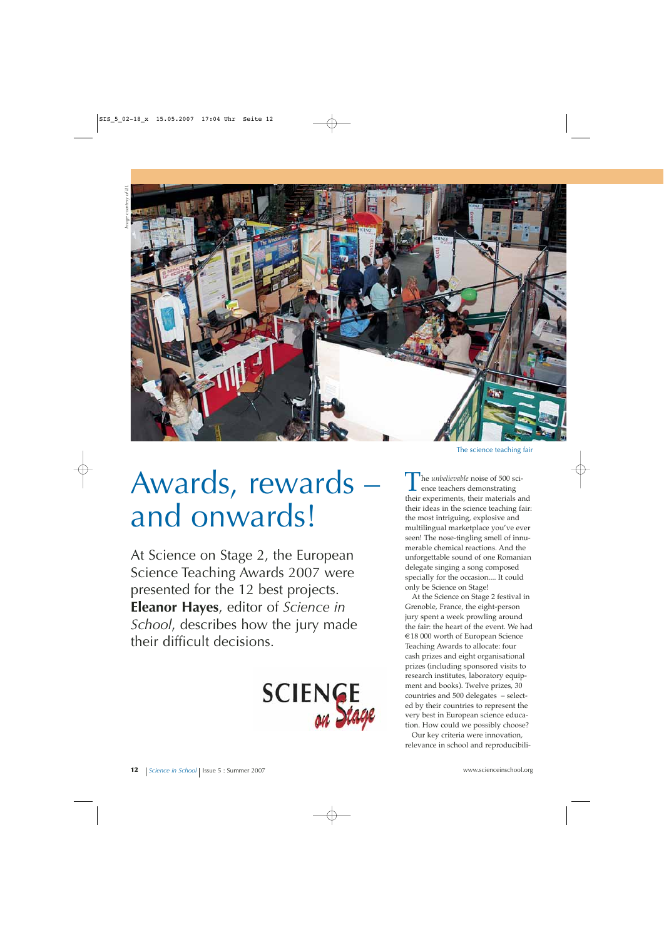

## Awards, rewards and onwards!

At Science on Stage 2, the European Science Teaching Awards 2007 were presented for the 12 best projects. **Eleanor Hayes**, editor of *Science in School*, describes how the jury made their difficult decisions.



The science teaching fair

The *unbelievable* noise of 500 science teachers demonstrating<br>their experiments, their materials at their experiments, their materials and their ideas in the science teaching fair: the most intriguing, explosive and multilingual marketplace you've ever seen! The nose-tingling smell of innumerable chemical reactions. And the unforgettable sound of one Romanian delegate singing a song composed specially for the occasion.... It could only be Science on Stage!

At the Science on Stage 2 festival in Grenoble, France, the eight-person jury spent a week prowling around the fair: the heart of the event. We had €18 000 worth of European Science Teaching Awards to allocate: four cash prizes and eight organisational prizes (including sponsored visits to research institutes, laboratory equipment and books). Twelve prizes, 30 countries and 500 delegates – selected by their countries to represent the very best in European science education. How could we possibly choose?

Our key criteria were innovation, relevance in school and reproducibili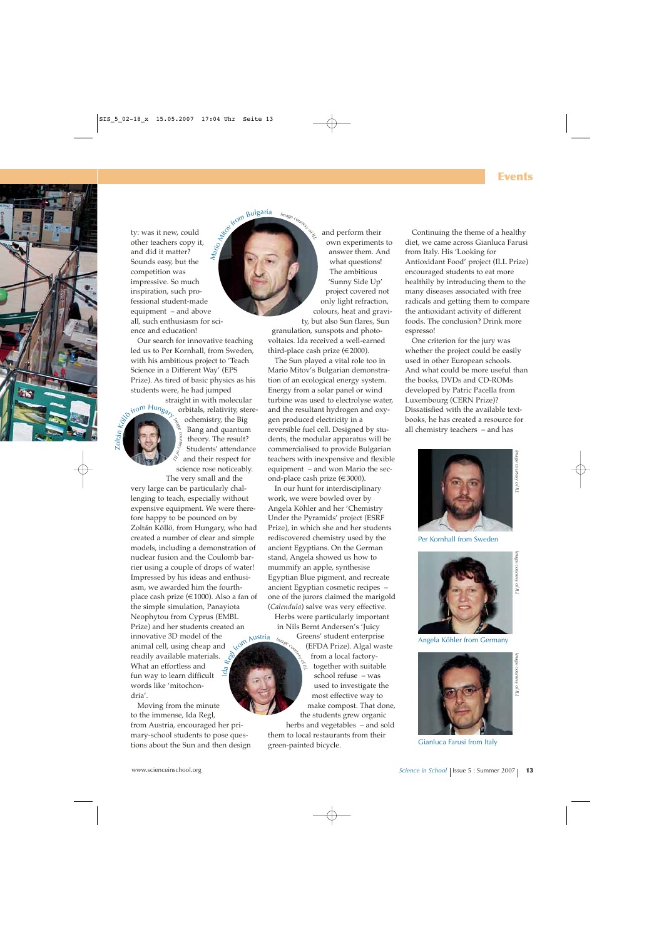ty: was it new, could other teachers copy it, and did it matter? Sounds easy, but the competition was impressive. So much inspiration, such professional student-made equipment – and above all, such enthusiasm for science and education! Mario

Our search for innovative teaching led us to Per Kornhall, from Sweden, with his ambitious project to 'Teach Science in a Different Way' (EPS Prize). As tired of basic physics as his students were, he had jumped **I**<sub>m</sub><sub>*s*</sub> *s* we st the *st c*<sup>o</sup><sub>*y*</sub><sup>*c*</sup><sup>*e*</sup> *f*<sub>c</sub> *c*<sup>o</sup>*u*</sup>*e*<sup>*n*</sup> *f*<sub>*n*</sub>

*of ILL*

straight in with molecular orbitals, relativity, stere-

ochemistry, the Big Bang and quantum theory. The result? Students' attendance and their respect for science rose noticeably.

The very small and the very large can be particularly challenging to teach, especially without expensive equipment. We were therefore happy to be pounced on by Zoltán Köllö, from Hungary, who had created a number of clear and simple models, including a demonstration of nuclear fusion and the Coulomb barrier using a couple of drops of water! Impressed by his ideas and enthusiasm, we awarded him the fourthplace cash prize (€1000). Also a fan of the simple simulation, Panayiota Neophytou from Cyprus (EMBL Prize) and her students created an innovative 3D model of the animal cell, using cheap and<br>readily available materials.  $\frac{1}{2}$ <br>What is a material set of readily available materials. What an effortless and fun way to learn difficult words like 'mitochondria'.  $\overline{\text{d}}$ a <sup>R</sup>eg<sup>l</sup> <sup>f</sup>ro<sup>m</sup> <sup>A</sup>ustri<sup>a</sup> *<sup>I</sup>m<sup>a</sup>g<sup>e</sup> <sup>c</sup>ourtes<sup>y</sup> <sup>o</sup><sup>f</sup> <sup>I</sup>L<sup>L</sup>*

Moving from the minute to the immense, Ida Regl, from Austria, encouraged her primary-school students to pose questions about the Sun and then design

## <sup>M</sup><sup>i</sup>to<sup>v</sup> <sup>f</sup>ro<sup>m</sup> <sup>B</sup>ulg<sup>a</sup><sup>r</sup>i<sup>a</sup> *<sup>I</sup>m<sup>a</sup>g<sup>e</sup> <sup>c</sup>ourte<sup>s</sup><sup>y</sup> <sup>o</sup><sup>f</sup> <sup>I</sup>L<sup>L</sup>*

and perform their own experiments to answer them. And what questions! The ambitious 'Sunny Side Up' project covered not only light refraction, colours, heat and gravity, but also Sun flares, Sun

granulation, sunspots and photovoltaics. Ida received a well-earned third-place cash prize  $(\in 2000)$ .

The Sun played a vital role too in Mario Mitov's Bulgarian demonstration of an ecological energy system. Energy from a solar panel or wind turbine was used to electrolyse water, and the resultant hydrogen and oxygen produced electricity in a reversible fuel cell. Designed by students, the modular apparatus will be commercialised to provide Bulgarian teachers with inexpensive and flexible equipment – and won Mario the second-place cash prize (€3000).

In our hunt for interdisciplinary work, we were bowled over by Angela Köhler and her 'Chemistry Under the Pyramids' project (ESRF Prize), in which she and her students rediscovered chemistry used by the ancient Egyptians. On the German stand, Angela showed us how to mummify an apple, synthesise Egyptian Blue pigment, and recreate ancient Egyptian cosmetic recipes – one of the jurors claimed the marigold (*Calendula*) salve was very effective.

Herbs were particularly important in Nils Bernt Andersen's 'Juicy

> Greens' student enterprise (EFDA Prize). Algal waste from a local factorytogether with suitable school refuse – was used to investigate the most effective way to make compost. That done, the students grew organic

herbs and vegetables – and sold them to local restaurants from their green-painted bicycle.

Continuing the theme of a healthy diet, we came across Gianluca Farusi from Italy. His 'Looking for Antioxidant Food' project (ILL Prize) encouraged students to eat more healthily by introducing them to the many diseases associated with free radicals and getting them to compare the antioxidant activity of different foods. The conclusion? Drink more espresso!

One criterion for the jury was whether the project could be easily used in other European schools. And what could be more useful than the books, DVDs and CD-ROMs developed by Patric Pacella from Luxembourg (CERN Prize)? Dissatisfied with the available textbooks, he has created a resource for all chemistry teachers – and has



Per Kornhall from Sweden



Angela Köhler from Germany



Gianluca Farusi from Italy

 *Image courtesy of ILL*